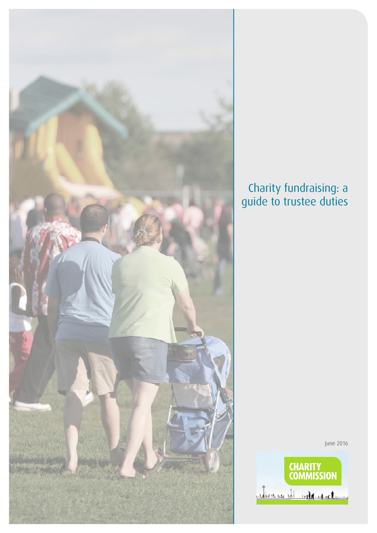

## Charity fundraising: a guide to trustee duties

June 2016

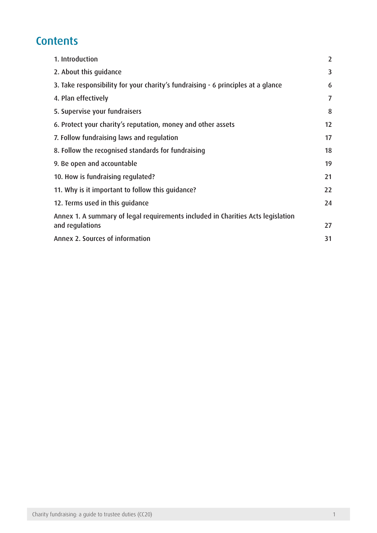# **Contents**

| 1. Introduction                                                                  | $\overline{2}$ |
|----------------------------------------------------------------------------------|----------------|
| 2. About this quidance                                                           | 3              |
| 3. Take responsibility for your charity's fundraising - 6 principles at a glance | 6              |
| 4. Plan effectively                                                              | 7              |
| 5. Supervise your fundraisers                                                    | 8              |
| 6. Protect your charity's reputation, money and other assets                     | 12             |
| 7. Follow fundraising laws and regulation                                        | 17             |
| 8. Follow the recognised standards for fundraising                               | 18             |
| 9. Be open and accountable                                                       | 19             |
| 10. How is fundraising regulated?                                                | 21             |
| 11. Why is it important to follow this quidance?                                 | 22             |
| 12. Terms used in this guidance                                                  | 24             |
| Annex 1. A summary of legal requirements included in Charities Acts legislation  |                |
| and regulations                                                                  | 27             |
| Annex 2. Sources of information                                                  | 31             |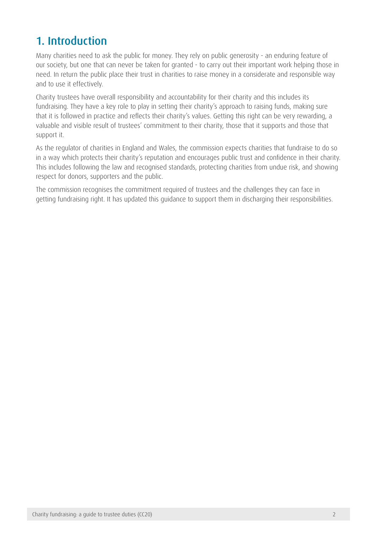# <span id="page-2-0"></span>1. Introduction

Many charities need to ask the public for money. They rely on public generosity - an enduring feature of our society, but one that can never be taken for granted - to carry out their important work helping those in need. In return the public place their trust in charities to raise money in a considerate and responsible way and to use it effectively.

Charity trustees have overall responsibility and accountability for their charity and this includes its fundraising. They have a key role to play in setting their charity's approach to raising funds, making sure that it is followed in practice and reflects their charity's values. Getting this right can be very rewarding, a valuable and visible result of trustees' commitment to their charity, those that it supports and those that support it.

As the regulator of charities in England and Wales, the commission expects charities that fundraise to do so in a way which protects their charity's reputation and encourages public trust and confidence in their charity. This includes following the law and recognised standards, protecting charities from undue risk, and showing respect for donors, supporters and the public.

The commission recognises the commitment required of trustees and the challenges they can face in getting fundraising right. It has updated this guidance to support them in discharging their responsibilities.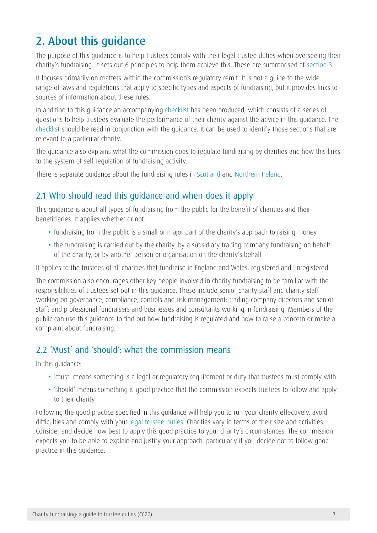# <span id="page-3-0"></span>2. About this guidance

The purpose of this guidance is to help trustees comply with their legal trustee duties when overseeing their charity's fundraising. It sets out 6 principles to help them achieve this. These are summarised at section 3.

It focuses primarily on matters within the commission's regulatory remit. It is not a guide to the wide range of laws and regulations that apply to specific types and aspects of fundraising, but it provides links to sources of information about these rules.

In addition to this guidance an accompanying [checklist](https://www.gov.uk/government/publications/charities-and-fundraising-cc20) has been produced, which consists of a series of questions to help trustees evaluate the performance of their charity against the advice in this guidance. The [checklist](https://www.gov.uk/government/publications/charities-and-fundraising-cc20) should be read in conjunction with the guidance. It can be used to identify those sections that are relevant to a particular charity.

The guidance also explains what the commission does to regulate fundraising by charities and how this links to the system of self-regulation of fundraising activity.

There is separate guidance about the fundraising rules in [Scotland](http://www.oscr.org.uk/charities/managing-your-charity/trustee-duties) and [Northern Ireland](http://www.charitycommissionni.org.uk/charity-essentials/running-your-charity-guidance/).

## 2.1 Who should read this guidance and when does it apply

This guidance is about all types of fundraising from the public for the benefit of charities and their beneficiaries. It applies whether or not:

- fundraising from the public is a small or major part of the charity's approach to raising money
- the fundraising is carried out by the charity, by a subsidiary trading company fundraising on behalf of the charity, or by another person or organisation on the charity's behalf

It applies to the trustees of all charities that fundraise in England and Wales, registered and unregistered.

The commission also encourages other key people involved in charity fundraising to be familiar with the responsibilities of trustees set out in this guidance. These include senior charity staff and charity staff working on governance, compliance, controls and risk management; trading company directors and senior staff; and professional fundraisers and businesses and consultants working in fundraising. Members of the public can use this guidance to find out how fundraising is regulated and how to raise a concern or make a complaint about fundraising.

## 2.2 'Must' and 'should': what the commission means

In this guidance:

- 'must' means something is a legal or regulatory requirement or duty that trustees must comply with
- 'should' means something is good practice that the commission expects trustees to follow and apply to their charity

Following the good practice specified in this guidance will help you to run your charity effectively, avoid difficulties and comply with your [legal trustee duties](https://www.gov.uk/government/publications/the-essential-trustee-what-you-need-to-know-cc3). Charities vary in terms of their size and activities. Consider and decide how best to apply this good practice to your charity's circumstances. The commission expects you to be able to explain and justify your approach, particularly if you decide not to follow good practice in this guidance.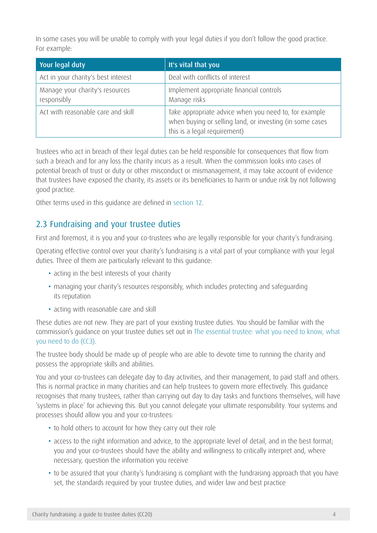In some cases you will be unable to comply with your legal duties if you don't follow the good practice. For example:

| Your legal duty                                | It's vital that you                                                                                                                               |
|------------------------------------------------|---------------------------------------------------------------------------------------------------------------------------------------------------|
| Act in your charity's best interest            | Deal with conflicts of interest                                                                                                                   |
| Manage your charity's resources<br>responsibly | Implement appropriate financial controls<br>Manage risks                                                                                          |
| Act with reasonable care and skill             | Take appropriate advice when you need to, for example<br>when buying or selling land, or investing (in some cases<br>this is a legal requirement) |

Trustees who act in breach of their legal duties can be held responsible for consequences that flow from such a breach and for any loss the charity incurs as a result. When the commission looks into cases of potential breach of trust or duty or other misconduct or mismanagement, it may take account of evidence that trustees have exposed the charity, its assets or its beneficiaries to harm or undue risk by not following good practice.

Other terms used in this guidance are defined in [section 12.](#page-24-1)

### 2.3 Fundraising and your trustee duties

First and foremost, it is you and your co-trustees who are legally responsible for your charity's fundraising.

Operating effective control over your charity's fundraising is a vital part of your compliance with your legal duties. Three of them are particularly relevant to this guidance:

- acting in the best interests of your charity
- managing your charity's resources responsibly, which includes protecting and safeguarding its reputation
- acting with reasonable care and skill

These duties are not new. They are part of your existing trustee duties. You should be familiar with the commission's guidance on your trustee duties set out in [The essential trustee: what you need to know, what](https://www.gov.uk/government/publications/the-essential-trustee-what-you-need-to-know-cc3/the-essential-trustee-what-you-need-to-know-what-you-need-to-do)  [you need to do](https://www.gov.uk/government/publications/the-essential-trustee-what-you-need-to-know-cc3/the-essential-trustee-what-you-need-to-know-what-you-need-to-do) (CC3).

The trustee body should be made up of people who are able to devote time to running the charity and possess the appropriate skills and abilities.

You and your co-trustees can delegate day to day activities, and their management, to paid staff and others. This is normal practice in many charities and can help trustees to govern more effectively. This guidance recognises that many trustees, rather than carrying out day to day tasks and functions themselves, will have 'systems in place' for achieving this. But you cannot delegate your ultimate responsibility. Your systems and processes should allow you and your co-trustees:

- to hold others to account for how they carry out their role
- access to the right information and advice, to the appropriate level of detail, and in the best format; you and your co-trustees should have the ability and willingness to critically interpret and, where necessary, question the information you receive
- to be assured that your charity's fundraising is compliant with the fundraising approach that you have set, the standards required by your trustee duties, and wider law and best practice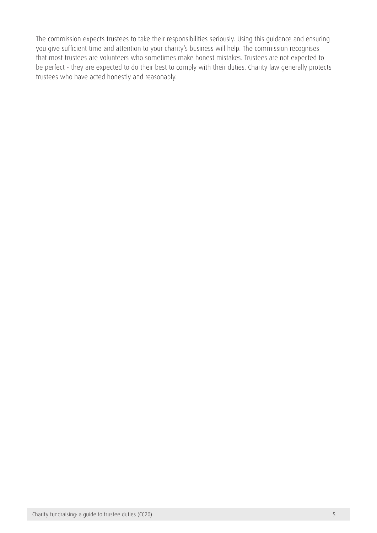The commission expects trustees to take their responsibilities seriously. Using this guidance and ensuring you give sufficient time and attention to your charity's business will help. The commission recognises that most trustees are volunteers who sometimes make honest mistakes. Trustees are not expected to be perfect - they are expected to do their best to comply with their duties. Charity law generally protects trustees who have acted honestly and reasonably.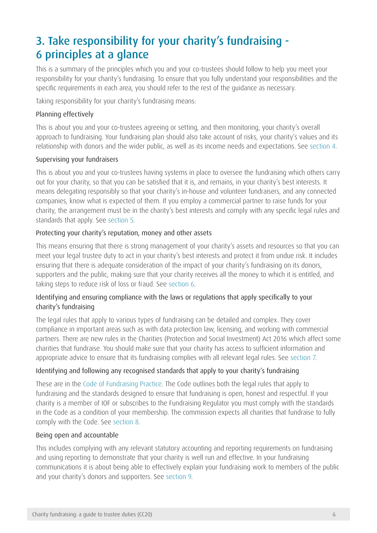# <span id="page-6-0"></span>3. Take responsibility for your charity's fundraising - 6 principles at a glance

This is a summary of the principles which you and your co-trustees should follow to help you meet your responsibility for your charity's fundraising. To ensure that you fully understand your responsibilities and the specific requirements in each area, you should refer to the rest of the guidance as necessary.

Taking responsibility for your charity's fundraising means:

#### Planning effectively

This is about you and your co-trustees agreeing or setting, and then monitoring, your charity's overall approach to fundraising. Your fundraising plan should also take account of risks, your charity's values and its relationship with donors and the wider public, as well as its income needs and expectations. See [section 4.](#page-7-1)

#### Supervising your fundraisers

This is about you and your co-trustees having systems in place to oversee the fundraising which others carry out for your charity, so that you can be satisfied that it is, and remains, in your charity's best interests. It means delegating responsibly so that your charity's in-house and volunteer fundraisers, and any connected companies, know what is expected of them. If you employ a commercial partner to raise funds for your charity, the arrangement must be in the charity's best interests and comply with any specific legal rules and standards that apply. See [section 5.](#page-8-1)

#### Protecting your charity's reputation, money and other assets

This means ensuring that there is strong management of your charity's assets and resources so that you can meet your legal trustee duty to act in your charity's best interests and protect it from undue risk. It includes ensuring that there is adequate consideration of the impact of your charity's fundraising on its donors, supporters and the public, making sure that your charity receives all the money to which it is entitled, and taking steps to reduce risk of loss or fraud. See section 6.

### Identifying and ensuring compliance with the laws or regulations that apply specifically to your charity's fundraising

The legal rules that apply to various types of fundraising can be detailed and complex. They cover compliance in important areas such as with data protection law, licensing, and working with commercial partners. There are new rules in the Charities (Protection and Social Investment) Act 2016 which affect some charities that fundraise. You should make sure that your charity has access to sufficient information and appropriate advice to ensure that its fundraising complies with all relevant legal rules. See [section 7](#page-17-1).

### Identifying and following any recognised standards that apply to your charity's fundraising

These are in the [Code of Fundraising Practice](http://www.institute-of-fundraising.org.uk/code-of-fundraising-practice/sections/). The Code outlines both the legal rules that apply to fundraising and the standards designed to ensure that fundraising is open, honest and respectful. If your charity is a member of IOF or subscribes to the Fundraising Regulator you must comply with the standards in the Code as a condition of your membership. The commission expects all charities that fundraise to fully comply with the Code. See [section 8.](#page-18-1)

#### Being open and accountable

This includes complying with any relevant statutory accounting and reporting requirements on fundraising and using reporting to demonstrate that your charity is well run and effective. In your fundraising communications it is about being able to effectively explain your fundraising work to members of the public and your charity's donors and supporters. See [section 9.](#page-19-1)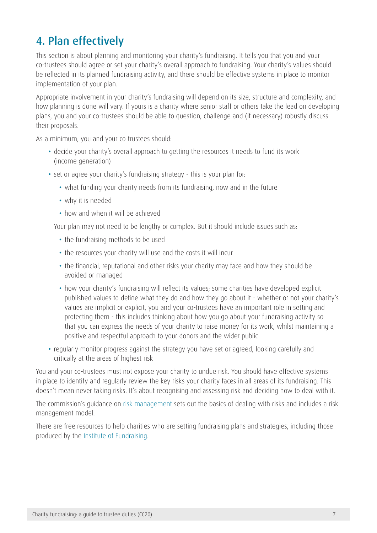# <span id="page-7-1"></span><span id="page-7-0"></span>4. Plan effectively

This section is about planning and monitoring your charity's fundraising. It tells you that you and your co-trustees should agree or set your charity's overall approach to fundraising. Your charity's values should be reflected in its planned fundraising activity, and there should be effective systems in place to monitor implementation of your plan.

Appropriate involvement in your charity's fundraising will depend on its size, structure and complexity, and how planning is done will vary. If yours is a charity where senior staff or others take the lead on developing plans, you and your co-trustees should be able to question, challenge and (if necessary) robustly discuss their proposals.

As a minimum, you and your co trustees should:

- decide your charity's overall approach to getting the resources it needs to fund its work (income generation)
- set or agree your charity's fundraising strategy this is your plan for:
	- what funding your charity needs from its fundraising, now and in the future
	- why it is needed
	- how and when it will be achieved

Your plan may not need to be lengthy or complex. But it should include issues such as:

- the fundraising methods to be used
- the resources your charity will use and the costs it will incur
- the financial, reputational and other risks your charity may face and how they should be avoided or managed
- how your charity's fundraising will reflect its values; some charities have developed explicit published values to define what they do and how they go about it - whether or not your charity's values are implicit or explicit, you and your co-trustees have an important role in setting and protecting them - this includes thinking about how you go about your fundraising activity so that you can express the needs of your charity to raise money for its work, whilst maintaining a positive and respectful approach to your donors and the wider public
- regularly monitor progress against the strategy you have set or agreed, looking carefully and critically at the areas of highest risk

You and your co-trustees must not expose your charity to undue risk. You should have effective systems in place to identify and regularly review the key risks your charity faces in all areas of its fundraising. This doesn't mean never taking risks. It's about recognising and assessing risk and deciding how to deal with it.

The commission's guidance on [risk management](https://www.gov.uk/government/publications/charities-and-risk-management-cc26) sets out the basics of dealing with risks and includes a risk management model.

There are free resources to help charities who are setting fundraising plans and strategies, including those produced by the [Institute of Fundraising](http://www.institute-of-fundraising.org.uk/blog/what-should-feature-in-a-fundraising-strategy/).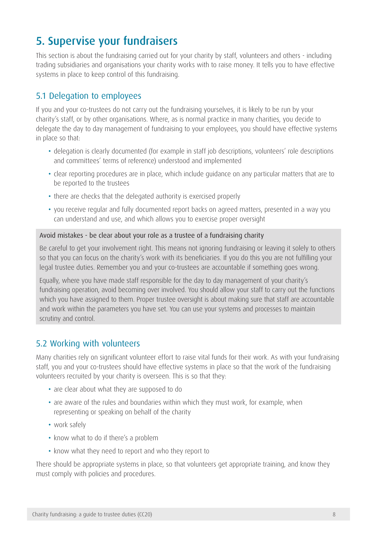# <span id="page-8-1"></span><span id="page-8-0"></span>5. Supervise your fundraisers

This section is about the fundraising carried out for your charity by staff, volunteers and others - including trading subsidiaries and organisations your charity works with to raise money. It tells you to have effective systems in place to keep control of this fundraising.

### 5.1 Delegation to employees

If you and your co-trustees do not carry out the fundraising yourselves, it is likely to be run by your charity's staff, or by other organisations. Where, as is normal practice in many charities, you decide to delegate the day to day management of fundraising to your employees, you should have effective systems in place so that:

- delegation is clearly documented (for example in staff job descriptions, volunteers' role descriptions and committees' terms of reference) understood and implemented
- clear reporting procedures are in place, which include guidance on any particular matters that are to be reported to the trustees
- there are checks that the delegated authority is exercised properly
- you receive regular and fully documented report backs on agreed matters, presented in a way you can understand and use, and which allows you to exercise proper oversight

#### Avoid mistakes - be clear about your role as a trustee of a fundraising charity

Be careful to get your involvement right. This means not ignoring fundraising or leaving it solely to others so that you can focus on the charity's work with its beneficiaries. If you do this you are not fulfilling your legal trustee duties. Remember you and your co-trustees are accountable if something goes wrong.

Equally, where you have made staff responsible for the day to day management of your charity's fundraising operation, avoid becoming over involved. You should allow your staff to carry out the functions which you have assigned to them. Proper trustee oversight is about making sure that staff are accountable and work within the parameters you have set. You can use your systems and processes to maintain scrutiny and control.

### 5.2 Working with volunteers

Many charities rely on significant volunteer effort to raise vital funds for their work. As with your fundraising staff, you and your co-trustees should have effective systems in place so that the work of the fundraising volunteers recruited by your charity is overseen. This is so that they:

- are clear about what they are supposed to do
- are aware of the rules and boundaries within which they must work, for example, when representing or speaking on behalf of the charity
- work safely
- know what to do if there's a problem
- know what they need to report and who they report to

There should be appropriate systems in place, so that volunteers get appropriate training, and know they must comply with policies and procedures.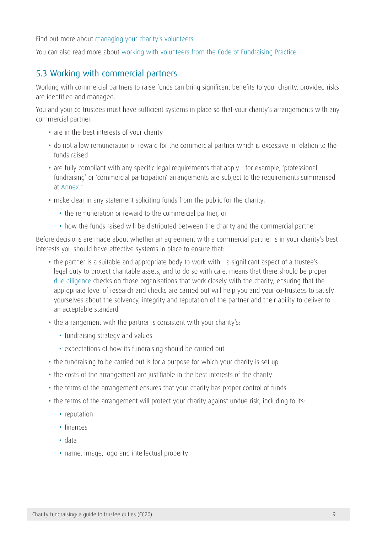Find out more about [managing your charity's volunteers](https://www.gov.uk/guidance/how-to-manage-your-charitys-volunteers).

You can also read more about [working with volunteers from the Code of Fundraising Practice](http://www.institute-of-fundraising.org.uk/code-of-fundraising-practice/sections/working-with-other-people-volunteers-children-and-third-parties/).

## 5.3 Working with commercial partners

Working with commercial partners to raise funds can bring significant benefits to your charity, provided risks are identified and managed.

You and your co trustees must have sufficient systems in place so that your charity's arrangements with any commercial partner:

- are in the best interests of your charity
- do not allow remuneration or reward for the commercial partner which is excessive in relation to the funds raised
- are fully compliant with any specific legal requirements that apply for example, 'professional fundraising' or 'commercial participation' arrangements are subject to the requirements summarised at [Annex 1](#page-27-1)
- make clear in any statement soliciting funds from the public for the charity:
	- the remuneration or reward to the commercial partner, or
	- how the funds raised will be distributed between the charity and the commercial partner

Before decisions are made about whether an agreement with a commercial partner is in your charity's best interests you should have effective systems in place to ensure that:

- the partner is a suitable and appropriate body to work with a significant aspect of a trustee's legal duty to protect charitable assets, and to do so with care, means that there should be proper [due diligence](https://www.gov.uk/government/publications/charities-due-diligence-checks-and-monitoring-end-use-of-funds) checks on those organisations that work closely with the charity; ensuring that the appropriate level of research and checks are carried out will help you and your co-trustees to satisfy yourselves about the solvency, integrity and reputation of the partner and their ability to deliver to an acceptable standard
- the arrangement with the partner is consistent with your charity's:
	- fundraising strategy and values
	- expectations of how its fundraising should be carried out
- the fundraising to be carried out is for a purpose for which your charity is set up
- the costs of the arrangement are justifiable in the best interests of the charity
- the terms of the arrangement ensures that your charity has proper control of funds
- the terms of the arrangement will protect your charity against undue risk, including to its:
	- reputation
	- finances
	- data
	- name, image, logo and intellectual property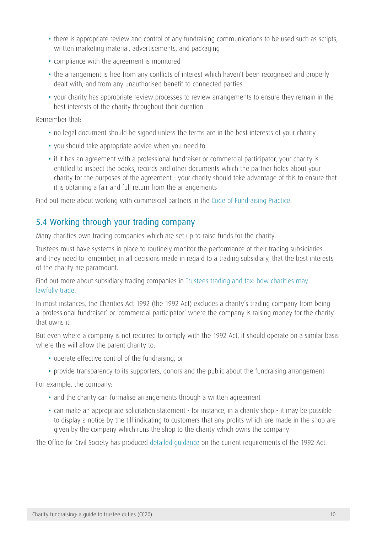- there is appropriate review and control of any fundraising communications to be used such as scripts, written marketing material, advertisements, and packaging
- compliance with the agreement is monitored
- the arrangement is free from any conflicts of interest which haven't been recognised and properly dealt with, and from any unauthorised benefit to connected parties
- • your charity has appropriate review processes to review arrangements to ensure they remain in the best interests of the charity throughout their duration

Remember that:

- no legal document should be signed unless the terms are in the best interests of your charity
- you should take appropriate advice when you need to
- if it has an agreement with a professional fundraiser or commercial participator, your charity is entitled to inspect the books, records and other documents which the partner holds about your charity for the purposes of the agreement - your charity should take advantage of this to ensure that it is obtaining a fair and full return from the arrangements

Find out more about working with commercial partners in the [Code of Fundraising Practice](http://www.institute-of-fundraising.org.uk/code-of-fundraising-practice/sections/working-with-third-parties/).

## 5.4 Working through your trading company

Many charities own trading companies which are set up to raise funds for the charity.

Trustees must have systems in place to routinely monitor the performance of their trading subsidiaries and they need to remember, in all decisions made in regard to a trading subsidiary, that the best interests of the charity are paramount.

Find out more about subsidiary trading companies in [Trustees trading and tax: how charities may](https://www.gov.uk/government/publications/trustees-trading-and-tax-how-charities-may-lawfully-trade-cc35) [lawfully trade.](https://www.gov.uk/government/publications/trustees-trading-and-tax-how-charities-may-lawfully-trade-cc35)

In most instances, the Charities Act 1992 (the 1992 Act) excludes a charity's trading company from being a 'professional fundraiser' or 'commercial participator' where the company is raising money for the charity that owns it.

But even where a company is not required to comply with the 1992 Act, it should operate on a similar basis where this will allow the parent charity to:

- operate effective control of the fundraising, or
- provide transparency to its supporters, donors and the public about the fundraising arrangement

For example, the company:

- and the charity can formalise arrangements through a written agreement
- can make an appropriate solicitation statement for instance, in a charity shop it may be possible to display a notice by the till indicating to customers that any profits which are made in the shop are given by the company which runs the shop to the charity which owns the company

The Office for Civil Society has produced [detailed guidance](http://webarchive.nationalarchives.gov.uk/20081230001423/http:/www.cabinetoffice.gov.uk/media/110668/amended%20guidance%20final.pdf) on the current requirements of the 1992 Act.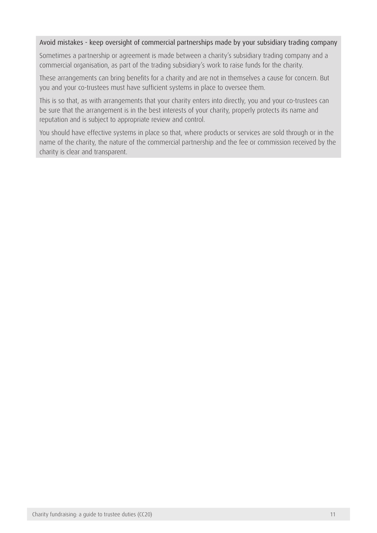#### Avoid mistakes - keep oversight of commercial partnerships made by your subsidiary trading company

Sometimes a partnership or agreement is made between a charity's subsidiary trading company and a commercial organisation, as part of the trading subsidiary's work to raise funds for the charity.

These arrangements can bring benefits for a charity and are not in themselves a cause for concern. But you and your co-trustees must have sufficient systems in place to oversee them.

This is so that, as with arrangements that your charity enters into directly, you and your co-trustees can be sure that the arrangement is in the best interests of your charity, properly protects its name and reputation and is subject to appropriate review and control.

You should have effective systems in place so that, where products or services are sold through or in the name of the charity, the nature of the commercial partnership and the fee or commission received by the charity is clear and transparent.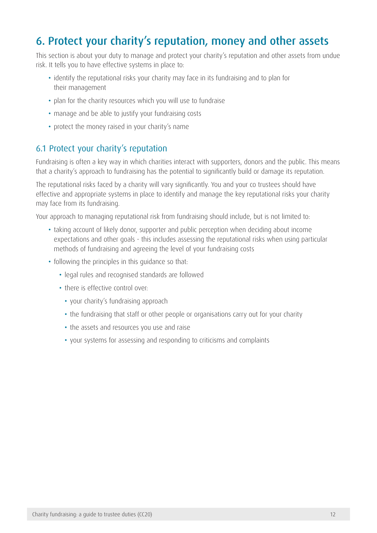# <span id="page-12-0"></span>6. Protect your charity's reputation, money and other assets

This section is about your duty to manage and protect your charity's reputation and other assets from undue risk. It tells you to have effective systems in place to:

- identify the reputational risks your charity may face in its fundraising and to plan for their management
- plan for the charity resources which you will use to fundraise
- manage and be able to justify your fundraising costs
- protect the money raised in your charity's name

### 6.1 Protect your charity's reputation

Fundraising is often a key way in which charities interact with supporters, donors and the public. This means that a charity's approach to fundraising has the potential to significantly build or damage its reputation.

The reputational risks faced by a charity will vary significantly. You and your co trustees should have effective and appropriate systems in place to identify and manage the key reputational risks your charity may face from its fundraising.

Your approach to managing reputational risk from fundraising should include, but is not limited to:

- taking account of likely donor, supporter and public perception when deciding about income expectations and other goals - this includes assessing the reputational risks when using particular methods of fundraising and agreeing the level of your fundraising costs
- following the principles in this guidance so that:
	- legal rules and recognised standards are followed
	- there is effective control over:
		- your charity's fundraising approach
		- the fundraising that staff or other people or organisations carry out for your charity
		- the assets and resources you use and raise
		- your systems for assessing and responding to criticisms and complaints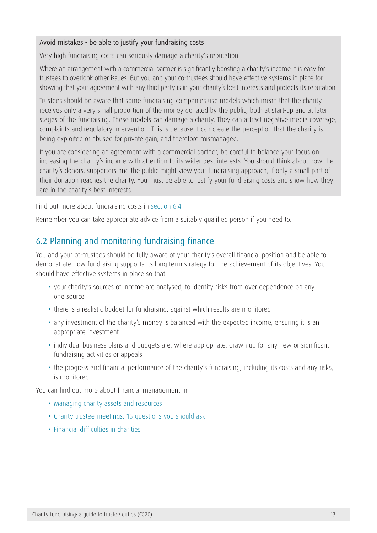#### Avoid mistakes - be able to justify your fundraising costs

Very high fundraising costs can seriously damage a charity's reputation.

Where an arrangement with a commercial partner is significantly boosting a charity's income it is easy for trustees to overlook other issues. But you and your co-trustees should have effective systems in place for showing that your agreement with any third party is in your charity's best interests and protects its reputation.

Trustees should be aware that some fundraising companies use models which mean that the charity receives only a very small proportion of the money donated by the public, both at start-up and at later stages of the fundraising. These models can damage a charity. They can attract negative media coverage, complaints and regulatory intervention. This is because it can create the perception that the charity is being exploited or abused for private gain, and therefore mismanaged.

If you are considering an agreement with a commercial partner, be careful to balance your focus on increasing the charity's income with attention to its wider best interests. You should think about how the charity's donors, supporters and the public might view your fundraising approach, if only a small part of their donation reaches the charity. You must be able to justify your fundraising costs and show how they are in the charity's best interests.

Find out more about fundraising costs in [section 6.4](#page-14-0).

Remember you can take appropriate advice from a suitably qualified person if you need to.

### 6.2 Planning and monitoring fundraising finance

You and your co-trustees should be fully aware of your charity's overall financial position and be able to demonstrate how fundraising supports its long term strategy for the achievement of its objectives. You should have effective systems in place so that:

- your charity's sources of income are analysed, to identify risks from over dependence on any one source
- there is a realistic budget for fundraising, against which results are monitored
- any investment of the charity's money is balanced with the expected income, ensuring it is an appropriate investment
- individual business plans and budgets are, where appropriate, drawn up for any new or significant fundraising activities or appeals
- the progress and financial performance of the charity's fundraising, including its costs and any risks, is monitored

You can find out more about financial management in:

- [Managing charity assets and resources](https://www.gov.uk/government/publications/managing-charity-assets-and-resources-cc25)
- [Charity trustee meetings: 15 questions you should ask](https://www.gov.uk/government/publications/charity-trustee-meetings-15-questions-you-should-ask)
- [Financial difficulties in charities](https://www.gov.uk/financial-difficulties-in-charities)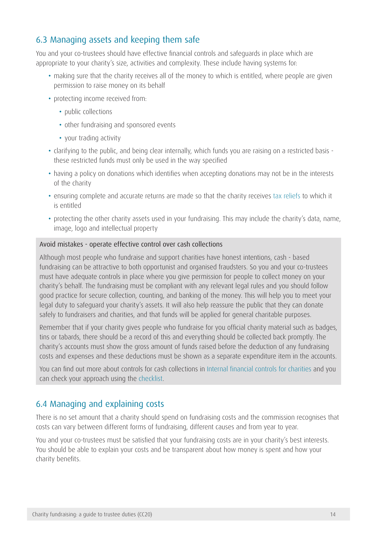## 6.3 Managing assets and keeping them safe

You and your co-trustees should have effective financial controls and safeguards in place which are appropriate to your charity's size, activities and complexity. These include having systems for:

- making sure that the charity receives all of the money to which is entitled, where people are given permission to raise money on its behalf
- protecting income received from:
	- public collections
	- other fundraising and sponsored events
	- your trading activity
- clarifying to the public, and being clear internally, which funds you are raising on a restricted basis these restricted funds must only be used in the way specified
- having a policy on donations which identifies when accepting donations may not be in the interests of the charity
- ensuring complete and accurate returns are made so that the charity receives [tax reliefs](https://www.gov.uk/charities-and-tax/overview) to which it is entitled
- protecting the other charity assets used in your fundraising. This may include the charity's data, name, image, logo and intellectual property

#### Avoid mistakes - operate effective control over cash collections

Although most people who fundraise and support charities have honest intentions, cash - based fundraising can be attractive to both opportunist and organised fraudsters. So you and your co-trustees must have adequate controls in place where you give permission for people to collect money on your charity's behalf. The fundraising must be compliant with any relevant legal rules and you should follow good practice for secure collection, counting, and banking of the money. This will help you to meet your legal duty to safeguard your charity's assets. It will also help reassure the public that they can donate safely to fundraisers and charities, and that funds will be applied for general charitable purposes.

Remember that if your charity gives people who fundraise for you official charity material such as badges, tins or tabards, there should be a record of this and everything should be collected back promptly. The charity's accounts must show the gross amount of funds raised before the deduction of any fundraising costs and expenses and these deductions must be shown as a separate expenditure item in the accounts.

You can find out more about controls for cash collections in [Internal financial controls for charities](https://www.gov.uk/government/publications/internal-financial-controls-for-charities-cc8/internal-financial-controls-for-charities) and you can check your approach using the [checklist.](https://www.gov.uk/government/publications/internal-financial-controls-for-charities-cc8)

### <span id="page-14-0"></span>6.4 Managing and explaining costs

There is no set amount that a charity should spend on fundraising costs and the commission recognises that costs can vary between different forms of fundraising, different causes and from year to year.

You and your co-trustees must be satisfied that your fundraising costs are in your charity's best interests. You should be able to explain your costs and be transparent about how money is spent and how your charity benefits.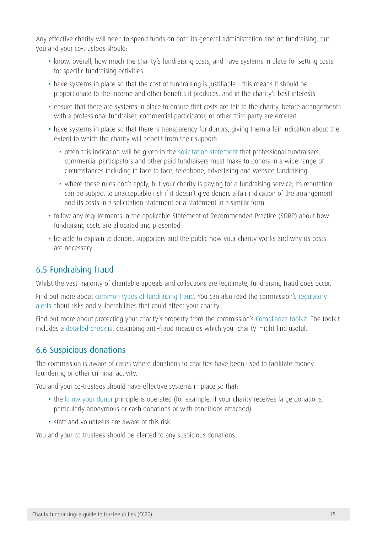Any effective charity will need to spend funds on both its general administration and on fundraising, but you and your co-trustees should:

- know, overall, how much the charity's fundraising costs, and have systems in place for setting costs for specific fundraising activities
- have systems in place so that the cost of fundraising is justifiable this means it should be proportionate to the income and other benefits it produces, and in the charity's best interests
- ensure that there are systems in place to ensure that costs are fair to the charity, before arrangements with a professional fundraiser, commercial participator, or other third party are entered
- have systems in place so that there is transparency for donors, giving them a fair indication about the extent to which the charity will benefit from their support:
	- often this indication will be given in the [solicitation statement](http://www.institute-of-fundraising.org.uk/code-of-fundraising-practice/legal-appendices/solicitation-statements/) that professional fundraisers, commercial participators and other paid fundraisers must make to donors in a wide range of circumstances including in face to face, telephone, advertising and website fundraising
	- where these rules don't apply, but your charity is paying for a fundraising service, its reputation can be subject to unacceptable risk if it doesn't give donors a fair indication of the arrangement and its costs in a solicitation statement or a statement in a similar form
- follow any requirements in the applicable Statement of Recommended Practice (SORP) about how fundraising costs are allocated and presented
- be able to explain to donors, supporters and the public how your charity works and why its costs are necessary

## 6.5 Fundraising fraud

Whilst the vast majority of charitable appeals and collections are legitimate, fundraising fraud does occur.

Find out more about [common types of fundraising fraud](https://www.gov.uk/government/publications/disaster-appeals-charity-commission-guidance-on-starting-running-and-supporting-charitable-disaster-appeals-cc40). You can also read the commission's regulatory [alerts](https://www.gov.uk/government/collections/regulatory-alerts-charity-commission) about risks and vulnerabilities that could affect your charity.

Find out more about protecting your charity's property from the commission's [Compliance toolkit](https://www.gov.uk/government/collections/protecting-charities-from-harm-compliance-toolkit). The toolkit includes a [detailed checklist](https://www.gov.uk/government/publications/charities-fraud-and-financial-crime) describing anti-fraud measures which your charity might find useful.

## 6.6 Suspicious donations

The commission is aware of cases where donations to charities have been used to facilitate money laundering or other criminal activity.

You and your co-trustees should have effective systems in place so that:

- the [know your donor](http://forms.charitycommission.gov.uk/media/90962/toolkit_2_tool6.pdf) principle is operated (for example, if your charity receives large donations, particularly anonymous or cash donations or with conditions attached)
- staff and volunteers are aware of this risk

You and your co-trustees should be alerted to any suspicious donations.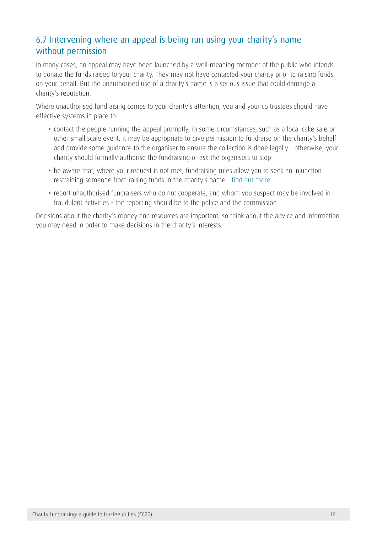## 6.7 Intervening where an appeal is being run using your charity's name without permission

In many cases, an appeal may have been launched by a well-meaning member of the public who intends to donate the funds raised to your charity. They may not have contacted your charity prior to raising funds on your behalf. But the unauthorised use of a charity's name is a serious issue that could damage a charity's reputation.

Where unauthorised fundraising comes to your charity's attention, you and your co trustees should have effective systems in place to:

- contact the people running the appeal promptly; in some circumstances, such as a local cake sale or other small scale event, it may be appropriate to give permission to fundraise on the charity's behalf and provide some guidance to the organiser to ensure the collection is done legally - otherwise, your charity should formally authorise the fundraising or ask the organisers to stop
- be aware that, where your request is not met, fundraising rules allow you to seek an injunction restraining someone from raising funds in the charity's name - [find out more](http://webarchive.nationalarchives.gov.uk/20081230001423/http:/www.cabinetoffice.gov.uk/media/110668/amended%20guidance%20final.pdf)
- report unauthorised fundraisers who do not cooperate, and whom you suspect may be involved in fraudulent activities - the reporting should be to the police and the commission

Decisions about the charity's money and resources are important, so think about the advice and information you may need in order to make decisions in the charity's interests.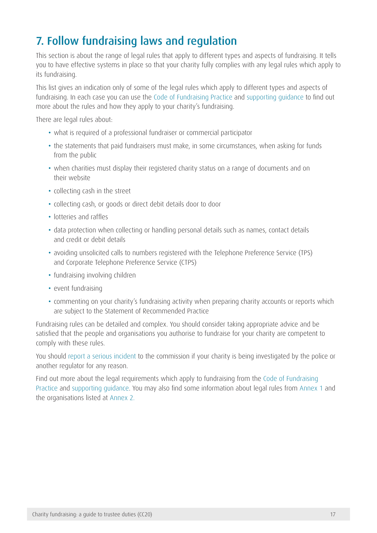# <span id="page-17-1"></span><span id="page-17-0"></span>7. Follow fundraising laws and regulation

This section is about the range of legal rules that apply to different types and aspects of fundraising. It tells you to have effective systems in place so that your charity fully complies with any legal rules which apply to its fundraising.

This list gives an indication only of some of the legal rules which apply to different types and aspects of fundraising. In each case you can use the [Code of Fundraising Practice](http://www.institute-of-fundraising.org.uk/code-of-fundraising-practice/sections/) and [supporting guidance](http://www.institute-of-fundraising.org.uk/code-of-fundraising-practice/guidance/) to find out more about the rules and how they apply to your charity's fundraising.

There are legal rules about:

- what is required of a professional fundraiser or commercial participator
- the statements that paid fundraisers must make, in some circumstances, when asking for funds from the public
- when charities must display their registered charity status on a range of documents and on their website
- collecting cash in the street
- collecting cash, or goods or direct debit details door to door
- lotteries and raffles
- data protection when collecting or handling personal details such as names, contact details and credit or debit details
- avoiding unsolicited calls to numbers registered with the Telephone Preference Service (TPS) and Corporate Telephone Preference Service (CTPS)
- fundraising involving children
- event fundraising
- • commenting on your charity's fundraising activity when preparing charity accounts or reports which are subject to the Statement of Recommended Practice

Fundraising rules can be detailed and complex. You should consider taking appropriate advice and be satisfied that the people and organisations you authorise to fundraise for your charity are competent to comply with these rules.

You should [report a serious incident](https://www.gov.uk/guidance/how-to-report-a-serious-incident-in-your-charity) to the commission if your charity is being investigated by the police or another regulator for any reason.

Find out more about the legal requirements which apply to fundraising from the Code of Fundraising [Practice](http://www.institute-of-fundraising.org.uk/code-of-fundraising-practice/sections/) and [supporting guidance](http://www.institute-of-fundraising.org.uk/code-of-fundraising-practice/guidance/). You may also find some information about legal rules from [Annex 1](#page-27-1) and the organisations listed at [Annex 2.](#page-31-1)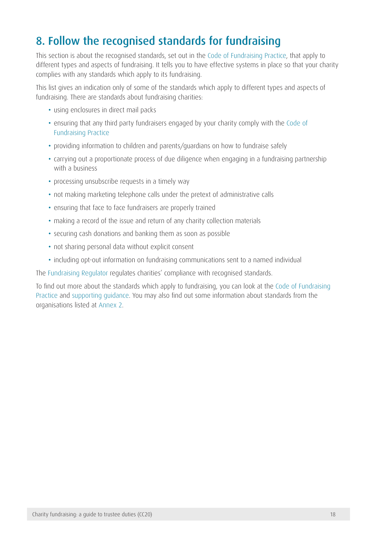# <span id="page-18-1"></span><span id="page-18-0"></span>8. Follow the recognised standards for fundraising

This section is about the recognised standards, set out in the [Code of Fundraising Practice](http://www.institute-of-fundraising.org.uk/code-of-fundraising-practice/sections/), that apply to different types and aspects of fundraising. It tells you to have effective systems in place so that your charity complies with any standards which apply to its fundraising.

This list gives an indication only of some of the standards which apply to different types and aspects of fundraising. There are standards about fundraising charities:

- using enclosures in direct mail packs
- ensuring that any third party fundraisers engaged by your charity comply with the Code of [Fundraising Practice](http://www.institute-of-fundraising.org.uk/code-of-fundraising-practice/sections/)
- providing information to children and parents/guardians on how to fundraise safely
- carrying out a proportionate process of due diligence when engaging in a fundraising partnership with a business
- processing unsubscribe requests in a timely way
- not making marketing telephone calls under the pretext of administrative calls
- ensuring that face to face fundraisers are properly trained
- making a record of the issue and return of any charity collection materials
- securing cash donations and banking them as soon as possible
- not sharing personal data without explicit consent
- including opt-out information on fundraising communications sent to a named individual

Th[e Fundraising Regulator](http://www.fundraisingregulator.org.uk/) regulates charities' compliance with recognised standards.

To find out more about the standards which apply to fundraising, you can look at the [Code of Fundraising](http://www.institute-of-fundraising.org.uk/code-of-fundraising-practice/sections/)  [Practice](http://www.institute-of-fundraising.org.uk/code-of-fundraising-practice/sections/) and [supporting guidance](http://www.institute-of-fundraising.org.uk/code-of-fundraising-practice/guidance/). You may also find out some information about standards from the organisations listed at [Annex 2.](#page-31-1)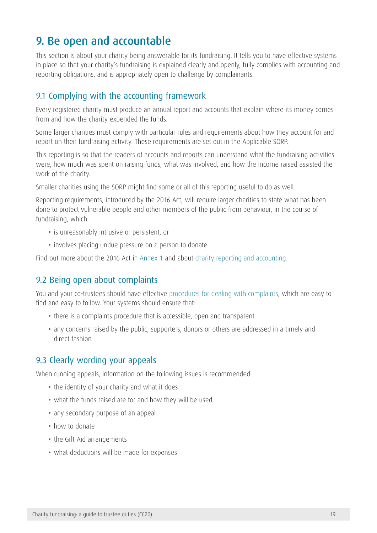## <span id="page-19-1"></span><span id="page-19-0"></span>9. Be open and accountable

This section is about your charity being answerable for its fundraising. It tells you to have effective systems in place so that your charity's fundraising is explained clearly and openly, fully complies with accounting and reporting obligations, and is appropriately open to challenge by complainants.

### 9.1 Complying with the accounting framework

Every registered charity must produce an annual report and accounts that explain where its money comes from and how the charity expended the funds.

Some larger charities must comply with particular rules and requirements about how they account for and report on their fundraising activity. These requirements are set out in the Applicable SORP.

This reporting is so that the readers of accounts and reports can understand what the fundraising activities were, how much was spent on raising funds, what was involved, and how the income raised assisted the work of the charity.

Smaller charities using the SORP might find some or all of this reporting useful to do as well.

Reporting requirements, introduced by the 2016 Act, will require larger charities to state what has been done to protect vulnerable people and other members of the public from behaviour, in the course of fundraising, which:

- is unreasonably intrusive or persistent, or
- involves placing undue pressure on a person to donate

Find out more about the 2016 Act in [Annex 1](#page-27-1) and about [charity reporting and accounting.](https://www.gov.uk/government/publications/charity-reporting-and-accounting-the-essentials-march-2015-cc15c/charity-reporting-and-accounting-the-essentials-march-2015)

### 9.2 Being open about complaints

You and your co-trustees should have effective [procedures for dealing with complaints](https://www.gov.uk/government/publications/cause-for-complaint-rs11), which are easy to find and easy to follow. Your systems should ensure that:

- there is a complaints procedure that is accessible, open and transparent
- any concerns raised by the public, supporters, donors or others are addressed in a timely and direct fashion

### 9.3 Clearly wording your appeals

When running appeals, information on the following issues is recommended:

- the identity of your charity and what it does
- what the funds raised are for and how they will be used
- any secondary purpose of an appeal
- how to donate
- the Gift Aid arrangements
- what deductions will be made for expenses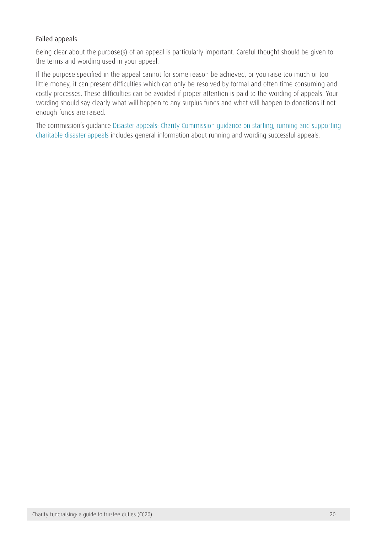### Failed appeals

Being clear about the purpose(s) of an appeal is particularly important. Careful thought should be given to the terms and wording used in your appeal.

If the purpose specified in the appeal cannot for some reason be achieved, or you raise too much or too little money, it can present difficulties which can only be resolved by formal and often time consuming and costly processes. These difficulties can be avoided if proper attention is paid to the wording of appeals. Your wording should say clearly what will happen to any surplus funds and what will happen to donations if not enough funds are raised.

The commission's guidance [Disaster appeals: Charity Commission guidance on starting, running and supporting](https://www.gov.uk/government/publications/disaster-appeals-charity-commission-guidance-on-starting-running-and-supporting-charitable-disaster-appeals-cc40/disaster-appeals-charity-commission-guidance-on-starting-running-and-supporting-charitable-disaster-appeals)  [charitable disaster appeals i](https://www.gov.uk/government/publications/disaster-appeals-charity-commission-guidance-on-starting-running-and-supporting-charitable-disaster-appeals-cc40/disaster-appeals-charity-commission-guidance-on-starting-running-and-supporting-charitable-disaster-appeals)ncludes general information about running and wording successful appeals.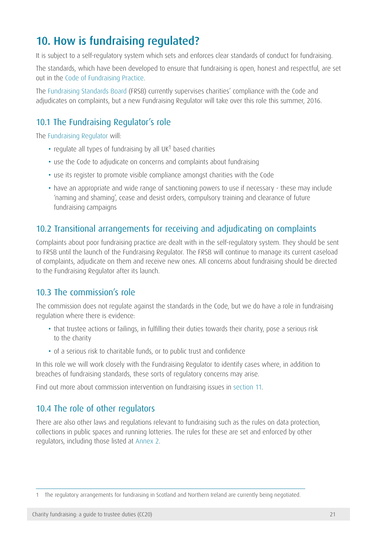# <span id="page-21-0"></span>10. How is fundraising regulated?

It is subject to a self-regulatory system which sets and enforces clear standards of conduct for fundraising.

The standards, which have been developed to ensure that fundraising is open, honest and respectful, are set out in the [Code of Fundraising Practice.](http://www.institute-of-fundraising.org.uk/code-of-fundraising-practice/sections/)

The [Fundraising Standards Board](http://www.frsb.org.uk/) (FRSB) currently supervises charities' compliance with the Code and adjudicates on complaints, but a new Fundraising Regulator will take over this role this summer, 2016.

## 10.1 The Fundraising Regulator's role

Th[e Fundraising Regulator](http://www.fundraisingregulator.org.uk/) will:

- regulate all types of fundraising by all UK<sup>1</sup> based charities
- use the Code to adjudicate on concerns and complaints about fundraising
- use its register to promote visible compliance amongst charities with the Code
- have an appropriate and wide range of sanctioning powers to use if necessary these may include 'naming and shaming', cease and desist orders, compulsory training and clearance of future fundraising campaigns

## 10.2 Transitional arrangements for receiving and adjudicating on complaints

Complaints about poor fundraising practice are dealt with in the self-regulatory system. They should be sent to FRSB until the launch of the Fundraising Regulator. The FRSB will continue to manage its current caseload of complaints, adjudicate on them and receive new ones. All concerns about fundraising should be directed to the Fundraising Regulator after its launch.

### 10.3 The commission's role

The commission does not regulate against the standards in the Code, but we do have a role in fundraising regulation where there is evidence:

- that trustee actions or failings, in fulfilling their duties towards their charity, pose a serious risk to the charity
- of a serious risk to charitable funds, or to public trust and confidence

In this role we will work closely with the Fundraising Regulator to identify cases where, in addition to breaches of fundraising standards, these sorts of regulatory concerns may arise.

Find out more about commission intervention on fundraising issues in [section 11](#page-22-1).

## 10.4 The role of other regulators

There are also other laws and regulations relevant to fundraising such as the rules on data protection, collections in public spaces and running lotteries. The rules for these are set and enforced by other regulators, including those listed at [Annex 2.](#page-31-1)

<sup>1</sup> The regulatory arrangements for fundraising in Scotland and Northern Ireland are currently being negotiated.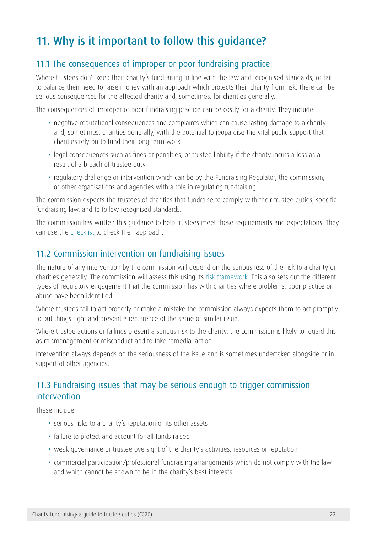# <span id="page-22-1"></span><span id="page-22-0"></span>11. Why is it important to follow this guidance?

## 11.1 The consequences of improper or poor fundraising practice

Where trustees don't keep their charity's fundraising in line with the law and recognised standards, or fail to balance their need to raise money with an approach which protects their charity from risk, there can be serious consequences for the affected charity and, sometimes, for charities generally.

The consequences of improper or poor fundraising practice can be costly for a charity. They include:

- negative reputational consequences and complaints which can cause lasting damage to a charity and, sometimes, charities generally, with the potential to jeopardise the vital public support that charities rely on to fund their long term work
- legal consequences such as fines or penalties, or trustee liability if the charity incurs a loss as a result of a breach of trustee duty
- regulatory challenge or intervention which can be by the Fundraising Regulator, the commission, or other organisations and agencies with a role in regulating fundraising

The commission expects the trustees of charities that fundraise to comply with their trustee duties, specific fundraising law, and to follow recognised standards.

The commission has written this guidance to help trustees meet these requirements and expectations. They can use the [checklist](https://www.gov.uk/government/publications/charities-and-fundraising-cc20) to check their approach.

### 11.2 Commission intervention on fundraising issues

The nature of any intervention by the commission will depend on the seriousness of the risk to a charity or charities generally. The commission will assess this using its [risk framework](https://www.gov.uk/government/publications/risk-framework-charity-commission). This also sets out the different types of regulatory engagement that the commission has with charities where problems, poor practice or abuse have been identified.

Where trustees fail to act properly or make a mistake the commission always expects them to act promptly to put things right and prevent a recurrence of the same or similar issue.

Where trustee actions or failings present a serious risk to the charity, the commission is likely to regard this as mismanagement or misconduct and to take remedial action.

Intervention always depends on the seriousness of the issue and is sometimes undertaken alongside or in support of other agencies.

## 11.3 Fundraising issues that may be serious enough to trigger commission intervention

These include:

- serious risks to a charity's reputation or its other assets
- failure to protect and account for all funds raised
- weak governance or trustee oversight of the charity's activities, resources or reputation
- • commercial participation/professional fundraising arrangements which do not comply with the law and which cannot be shown to be in the charity's best interests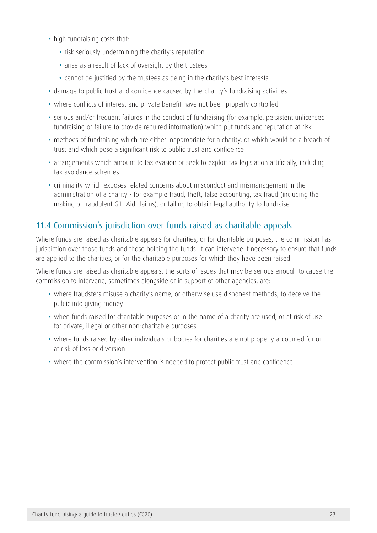- high fundraising costs that:
	- risk seriously undermining the charity's reputation
	- arise as a result of lack of oversight by the trustees
	- cannot be justified by the trustees as being in the charity's best interests
- damage to public trust and confidence caused by the charity's fundraising activities
- where conflicts of interest and private benefit have not been properly controlled
- serious and/or frequent failures in the conduct of fundraising (for example, persistent unlicensed fundraising or failure to provide required information) which put funds and reputation at risk
- methods of fundraising which are either inappropriate for a charity, or which would be a breach of trust and which pose a significant risk to public trust and confidence
- arrangements which amount to tax evasion or seek to exploit tax legislation artificially, including tax avoidance schemes
- • criminality which exposes related concerns about misconduct and mismanagement in the administration of a charity - for example fraud, theft, false accounting, tax fraud (including the making of fraudulent Gift Aid claims), or failing to obtain legal authority to fundraise

## 11.4 Commission's jurisdiction over funds raised as charitable appeals

Where funds are raised as charitable appeals for charities, or for charitable purposes, the commission has jurisdiction over those funds and those holding the funds. It can intervene if necessary to ensure that funds are applied to the charities, or for the charitable purposes for which they have been raised.

Where funds are raised as charitable appeals, the sorts of issues that may be serious enough to cause the commission to intervene, sometimes alongside or in support of other agencies, are:

- where fraudsters misuse a charity's name, or otherwise use dishonest methods, to deceive the public into giving money
- when funds raised for charitable purposes or in the name of a charity are used, or at risk of use for private, illegal or other non-charitable purposes
- where funds raised by other individuals or bodies for charities are not properly accounted for or at risk of loss or diversion
- where the commission's intervention is needed to protect public trust and confidence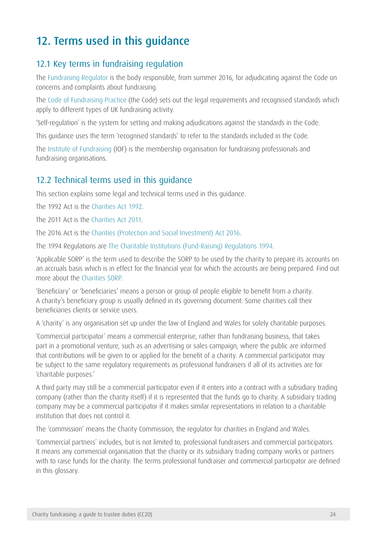# <span id="page-24-1"></span><span id="page-24-0"></span>12. Terms used in this guidance

## 12.1 Key terms in fundraising regulation

The [Fundraising Regulator](http://www.fundraisingregulator.org.uk/) is the body responsible, from summer 2016, for adjudicating against the Code on concerns and complaints about fundraising.

The [Code of Fundraising Practice](http://www.institute-of-fundraising.org.uk/code-of-fundraising-practice/sections/) (the Code) sets out the legal requirements and recognised standards which apply to different types of UK fundraising activity.

'Self-regulation' is the system for setting and making adjudications against the standards in the Code.

This guidance uses the term 'recognised standards' to refer to the standards included in the Code.

The [Institute of Fundraising](http://www.institute-of-fundraising.org.uk/home/) (IOF) is the membership organisation for fundraising professionals and fundraising organisations.

## 12.2 Technical terms used in this guidance

This section explains some legal and technical terms used in this guidance.

The 1992 Act is the [Charities Act 1992](http://www.opsi.gov.uk/acts/acts1992/Ukpga_19920041_en_1.htm).

The 2011 Act is the [Charities Act 2011](http://www.legislation.gov.uk/ukpga/2011/25/contents).

The 2016 Act is the [Charities \(Protection and Social Investment\) Act 2016.](http://www.legislation.gov.uk/ukpga/2016/4/contents/enacted/data.htm)

The 1994 Regulations are [The Charitable Institutions \(Fund-Raising\) Regulations 1994](http://www.legislation.gov.uk/uksi/1994/3024/regulation/1/made).

'Applicable SORP' is the term used to describe the SORP to be used by the charity to prepare its accounts on an accruals basis which is in effect for the financial year for which the accounts are being prepared. Find out more about the [Charities SORP.](http://www.charitiessorp.org/)

'Beneficiary' or 'beneficiaries' means a person or group of people eligible to benefit from a charity. A charity's beneficiary group is usually defined in its governing document. Some charities call their beneficiaries clients or service users.

A 'charity' is any organisation set up under the law of England and Wales for solely charitable purposes.

'Commercial participator' means a commercial enterprise, rather than fundraising business, that takes part in a promotional venture, such as an advertising or sales campaign, where the public are informed that contributions will be given to or applied for the benefit of a charity. A commercial participator may be subject to the same regulatory requirements as professional fundraisers if all of its activities are for 'charitable purposes.'

A third party may still be a commercial participator even if it enters into a contract with a subsidiary trading company (rather than the charity itself) if it is represented that the funds go to charity. A subsidiary trading company may be a commercial participator if it makes similar representations in relation to a charitable institution that does not control it.

The 'commission' means the Charity Commission, the regulator for charities in England and Wales.

'Commercial partners' includes, but is not limited to, professional fundraisers and commercial participators. It means any commercial organisation that the charity or its subsidiary trading company works or partners with to raise funds for the charity. The terms professional fundraiser and commercial participator are defined in this glossary.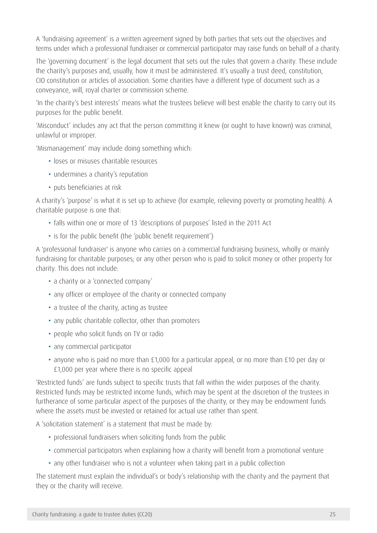A 'fundraising agreement' is a written agreement signed by both parties that sets out the objectives and terms under which a professional fundraiser or commercial participator may raise funds on behalf of a charity.

The 'governing document' is the legal document that sets out the rules that govern a charity. These include the charity's purposes and, usually, how it must be administered. It's usually a trust deed, constitution, CIO constitution or articles of association. Some charities have a different type of document such as a conveyance, will, royal charter or commission scheme.

'In the charity's best interests' means what the trustees believe will best enable the charity to carry out its purposes for the public benefit.

'Misconduct' includes any act that the person committing it knew (or ought to have known) was criminal, unlawful or improper.

'Mismanagement' may include doing something which:

- loses or misuses charitable resources
- undermines a charity's reputation
- puts beneficiaries at risk

A charity's 'purpose' is what it is set up to achieve (for example, relieving poverty or promoting health). A charitable purpose is one that:

- falls within one or more of 13 'descriptions of purposes' listed in the 2011 Act
- is for the public benefit (the 'public benefit requirement')

A 'professional fundraiser' is anyone who carries on a commercial fundraising business, wholly or mainly fundraising for charitable purposes; or any other person who is paid to solicit money or other property for charity. This does not include:

- a charity or a 'connected company'
- any officer or employee of the charity or connected company
- a trustee of the charity, acting as trustee
- any public charitable collector, other than promoters
- people who solicit funds on TV or radio
- any commercial participator
- anyone who is paid no more than £1,000 for a particular appeal, or no more than £10 per day or £1,000 per year where there is no specific appeal

'Restricted funds' are funds subject to specific trusts that fall within the wider purposes of the charity. Restricted funds may be restricted income funds, which may be spent at the discretion of the trustees in furtherance of some particular aspect of the purposes of the charity, or they may be endowment funds where the assets must be invested or retained for actual use rather than spent.

A 'solicitation statement' is a statement that must be made by:

- professional fundraisers when soliciting funds from the public
- commercial participators when explaining how a charity will benefit from a promotional venture
- any other fundraiser who is not a volunteer when taking part in a public collection

The statement must explain the individual's or body's relationship with the charity and the payment that they or the charity will receive.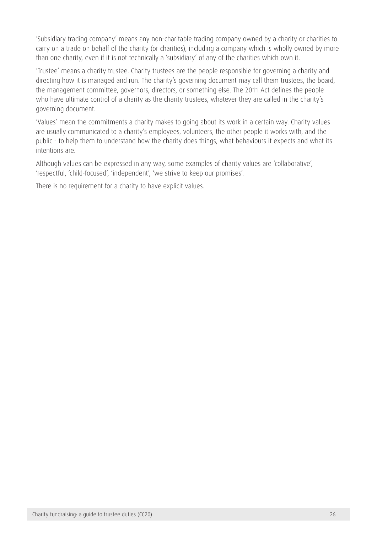'Subsidiary trading company' means any non-charitable trading company owned by a charity or charities to carry on a trade on behalf of the charity (or charities), including a company which is wholly owned by more than one charity, even if it is not technically a 'subsidiary' of any of the charities which own it.

'Trustee' means a charity trustee. Charity trustees are the people responsible for governing a charity and directing how it is managed and run. The charity's governing document may call them trustees, the board, the management committee, governors, directors, or something else. The 2011 Act defines the people who have ultimate control of a charity as the charity trustees, whatever they are called in the charity's governing document.

'Values' mean the commitments a charity makes to going about its work in a certain way. Charity values are usually communicated to a charity's employees, volunteers, the other people it works with, and the public - to help them to understand how the charity does things, what behaviours it expects and what its intentions are.

Although values can be expressed in any way, some examples of charity values are 'collaborative', 'respectful, 'child-focused', 'independent', 'we strive to keep our promises'.

There is no requirement for a charity to have explicit values.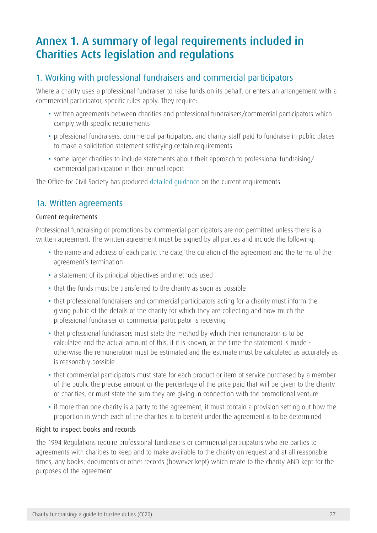# <span id="page-27-1"></span><span id="page-27-0"></span>Annex 1. A summary of legal requirements included in Charities Acts legislation and regulations

## 1. Working with professional fundraisers and commercial participators

Where a charity uses a professional fundraiser to raise funds on its behalf, or enters an arrangement with a commercial participator, specific rules apply. They require:

- written agreements between charities and professional fundraisers/commercial participators which comply with specific requirements
- • professional fundraisers, commercial participators, and charity staff paid to fundraise in public places to make a solicitation statement satisfying certain requirements
- some larger charities to include statements about their approach to professional fundraising/ commercial participation in their annual report

The Office for Civil Society has produced [detailed guidance](http://webarchive.nationalarchives.gov.uk/20081230001423/http:/www.cabinetoffice.gov.uk/media/110668/amended%20guidance%20final.pdf) on the current requirements.

### 1a. Written agreements

#### Current requirements

Professional fundraising or promotions by commercial participators are not permitted unless there is a written agreement. The written agreement must be signed by all parties and include the following:

- the name and address of each party, the date, the duration of the agreement and the terms of the agreement's termination
- a statement of its principal objectives and methods used
- that the funds must be transferred to the charity as soon as possible
- that professional fundraisers and commercial participators acting for a charity must inform the giving public of the details of the charity for which they are collecting and how much the professional fundraiser or commercial participator is receiving
- that professional fundraisers must state the method by which their remuneration is to be calculated and the actual amount of this, if it is known, at the time the statement is made otherwise the remuneration must be estimated and the estimate must be calculated as accurately as is reasonably possible
- that commercial participators must state for each product or item of service purchased by a member of the public the precise amount or the percentage of the price paid that will be given to the charity or charities, or must state the sum they are giving in connection with the promotional venture
- if more than one charity is a party to the agreement, it must contain a provision setting out how the proportion in which each of the charities is to benefit under the agreement is to be determined

#### Right to inspect books and records

The 1994 Regulations require professional fundraisers or commercial participators who are parties to agreements with charities to keep and to make available to the charity on request and at all reasonable times, any books, documents or other records (however kept) which relate to the charity AND kept for the purposes of the agreement.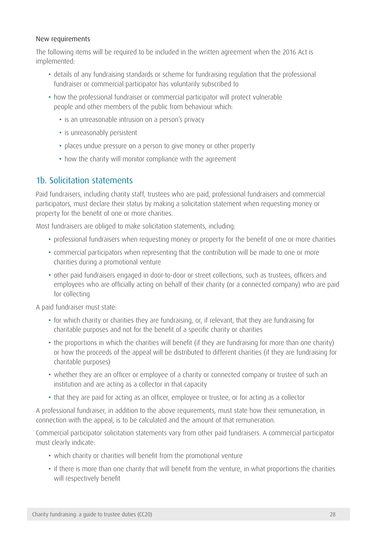#### New requirements

The following items will be required to be included in the written agreement when the 2016 Act is implemented:

- details of any fundraising standards or scheme for fundraising regulation that the professional fundraiser or commercial participator has voluntarily subscribed to
- how the professional fundraiser or commercial participator will protect vulnerable people and other members of the public from behaviour which:
	- is an unreasonable intrusion on a person's privacy
	- is unreasonably persistent
	- places undue pressure on a person to give money or other property
	- how the charity will monitor compliance with the agreement

## 1b. Solicitation statements

Paid fundraisers, including charity staff, trustees who are paid, professional fundraisers and commercial participators, must declare their status by making a solicitation statement when requesting money or property for the benefit of one or more charities.

Most fundraisers are obliged to make solicitation statements, including:

- professional fundraisers when requesting money or property for the benefit of one or more charities
- commercial participators when representing that the contribution will be made to one or more charities during a promotional venture
- • other paid fundraisers engaged in door-to-door or street collections, such as trustees, officers and employees who are officially acting on behalf of their charity (or a connected company) who are paid for collecting

A paid fundraiser must state:

- for which charity or charities they are fundraising, or, if relevant, that they are fundraising for charitable purposes and not for the benefit of a specific charity or charities
- the proportions in which the charities will benefit (if they are fundraising for more than one charity) or how the proceeds of the appeal will be distributed to different charities (if they are fundraising for charitable purposes)
- whether they are an officer or employee of a charity or connected company or trustee of such an institution and are acting as a collector in that capacity
- that they are paid for acting as an officer, employee or trustee, or for acting as a collector

A professional fundraiser, in addition to the above requirements, must state how their remuneration, in connection with the appeal, is to be calculated and the amount of that remuneration.

Commercial participator solicitation statements vary from other paid fundraisers. A commercial participator must clearly indicate:

- which charity or charities will benefit from the promotional venture
- if there is more than one charity that will benefit from the venture, in what proportions the charities will respectively benefit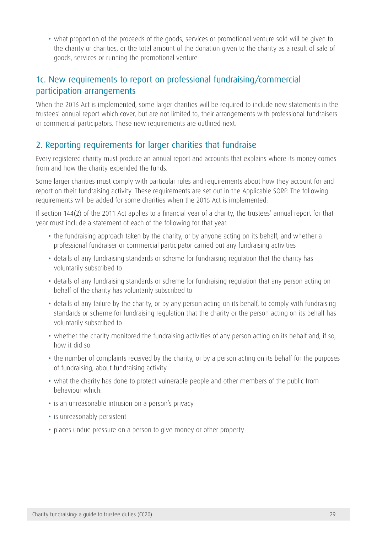• what proportion of the proceeds of the goods, services or promotional venture sold will be given to the charity or charities, or the total amount of the donation given to the charity as a result of sale of goods, services or running the promotional venture

## 1c. New requirements to report on professional fundraising/commercial participation arrangements

When the 2016 Act is implemented, some larger charities will be required to include new statements in the trustees' annual report which cover, but are not limited to, their arrangements with professional fundraisers or commercial participators. These new requirements are outlined next.

## 2. Reporting requirements for larger charities that fundraise

Every registered charity must produce an annual report and accounts that explains where its money comes from and how the charity expended the funds.

Some larger charities must comply with particular rules and requirements about how they account for and report on their fundraising activity. These requirements are set out in the Applicable SORP. The following requirements will be added for some charities when the 2016 Act is implemented:

If section 144(2) of the 2011 Act applies to a financial year of a charity, the trustees' annual report for that year must include a statement of each of the following for that year:

- the fundraising approach taken by the charity, or by anyone acting on its behalf, and whether a professional fundraiser or commercial participator carried out any fundraising activities
- details of any fundraising standards or scheme for fundraising regulation that the charity has voluntarily subscribed to
- details of any fundraising standards or scheme for fundraising regulation that any person acting on behalf of the charity has voluntarily subscribed to
- details of any failure by the charity, or by any person acting on its behalf, to comply with fundraising standards or scheme for fundraising regulation that the charity or the person acting on its behalf has voluntarily subscribed to
- whether the charity monitored the fundraising activities of any person acting on its behalf and, if so, how it did so
- the number of complaints received by the charity, or by a person acting on its behalf for the purposes of fundraising, about fundraising activity
- what the charity has done to protect vulnerable people and other members of the public from behaviour which:
- is an unreasonable intrusion on a person's privacy
- is unreasonably persistent
- places undue pressure on a person to give money or other property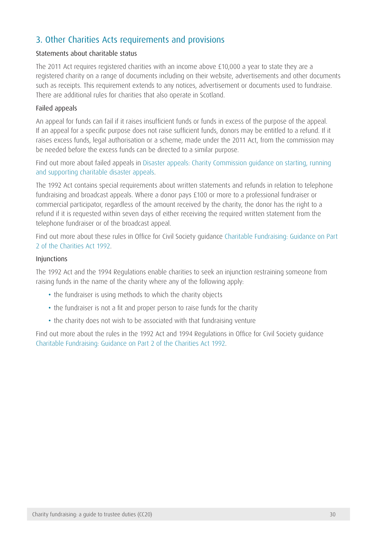## 3. Other Charities Acts requirements and provisions

### Statements about charitable status

The 2011 Act requires registered charities with an income above £10,000 a year to state they are a registered charity on a range of documents including on their website, advertisements and other documents such as receipts. This requirement extends to any notices, advertisement or documents used to fundraise. There are additional rules for charities that also operate in Scotland.

#### Failed appeals

An appeal for funds can fail if it raises insufficient funds or funds in excess of the purpose of the appeal. If an appeal for a specific purpose does not raise sufficient funds, donors may be entitled to a refund. If it raises excess funds, legal authorisation or a scheme, made under the 2011 Act, from the commission may be needed before the excess funds can be directed to a similar purpose.

Find out more about failed appeals in [Disaster appeals: Charity Commission guidance on starting, running](https://www.gov.uk/government/publications/disaster-appeals-charity-commission-guidance-on-starting-running-and-supporting-charitable-disaster-appeals-cc40)  [and supporting charitable disaster appeals](https://www.gov.uk/government/publications/disaster-appeals-charity-commission-guidance-on-starting-running-and-supporting-charitable-disaster-appeals-cc40).

The 1992 Act contains special requirements about written statements and refunds in relation to telephone fundraising and broadcast appeals. Where a donor pays £100 or more to a professional fundraiser or commercial participator, regardless of the amount received by the charity, the donor has the right to a refund if it is requested within seven days of either receiving the required written statement from the telephone fundraiser or of the broadcast appeal.

Find out more about these rules in Office for Civil Society guidance [Charitable Fundraising: Guidance on Part](http://webarchive.nationalarchives.gov.uk/20081230001423/http:/www.cabinetoffice.gov.uk/media/110668/amended%20guidance%20final.pdf)  [2 of the Charities Act 1992.](http://webarchive.nationalarchives.gov.uk/20081230001423/http:/www.cabinetoffice.gov.uk/media/110668/amended%20guidance%20final.pdf)

#### Injunctions

The 1992 Act and the 1994 Regulations enable charities to seek an injunction restraining someone from raising funds in the name of the charity where any of the following apply:

- the fundraiser is using methods to which the charity objects
- the fundraiser is not a fit and proper person to raise funds for the charity
- the charity does not wish to be associated with that fundraising venture

Find out more about the rules in the 1992 Act and 1994 Regulations in Office for Civil Society guidance [Charitable Fundraising: Guidance on Part 2 of the Charities Act 1992](http://webarchive.nationalarchives.gov.uk/20081230001423/http:/www.cabinetoffice.gov.uk/media/110668/amended%20guidance%20final.pdf).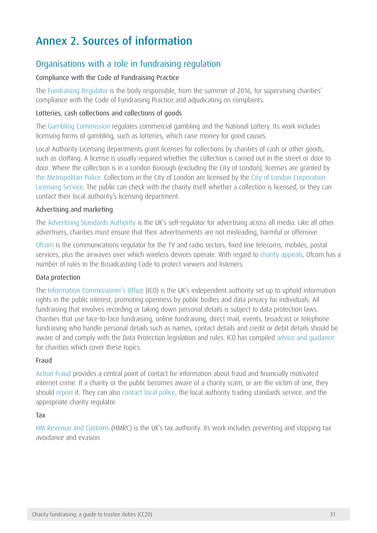# <span id="page-31-1"></span><span id="page-31-0"></span>Annex 2. Sources of information

## Organisations with a role in fundraising regulation

#### Compliance with the Code of Fundraising Practice

The [Fundraising Regulator](http://www.fundraisingregulator.org.uk/) is the body responsible, from the summer of 2016, for supervising charities' compliance with the Code of Fundraising Practice and adjudicating on complaints.

#### Lotteries, cash collections and collections of goods

The [Gambling Commission](http://www.gamblingcommission.gov.uk/) regulates commercial gambling and the National Lottery. Its work includes licensing forms of gambling, such as lotteries, which raise money for good causes.

Local Authority Licensing departments grant licenses for collections by charities of cash or other goods, such as clothing. A license is usually required whether the collection is carried out in the street or door to door. Where the collection is in a London Borough (excluding the City of London), licenses are granted by [the Metropolitan Police](http://content.met.police.uk/Site/licensing). Collections in the City of London are licensed by the [City of London Corporation](http://www.cityoflondon.gov.uk/business/licensing/Pages/default.aspx)  [Licensing Service](http://www.cityoflondon.gov.uk/business/licensing/Pages/default.aspx). The public can check with the charity itself whether a collection is licensed, or they can contact their local authority's licensing department.

#### Advertising and marketing

The [Advertising Standards Authority](http://www.asa.org.uk/About-ASA/About-regulation.aspx) is the UK's self-regulator for advertising across all media. Like all other advertisers, charities must ensure that their advertisements are not misleading, harmful or offensive.

[Ofcom](http://www.ofcom.org.uk/about/) is the communications regulator for the TV and radio sectors, fixed line telecoms, mobiles, postal services, plus the airwaves over which wireless devices operate. With regard to [charity appeals,](http://consumers.ofcom.org.uk/news/12200/) Ofcom has a number of rules in the Broadcasting Code to protect viewers and listeners.

#### Data protection

The [Information Commissioner's Office](http://ico.org.uk/about_us) (ICO) is the UK's independent authority set up to uphold information rights in the public interest, promoting openness by public bodies and data privacy for individuals. All fundraising that involves recording or taking down personal details is subject to data protection laws. Charities that use face-to-face fundraising, online fundraising, direct mail, events, broadcast or telephone fundraising who handle personal details such as names, contact details and credit or debit details should be aware of and comply with the Data Protection legislation and rules. ICO has compiled [advice and guidance](http://ico.org.uk/for_organisations/sector_guides/charity) for charities which cover these topics.

#### Fraud

[Action Fraud](http://www.actionfraud.police.uk/) provides a central point of contact for information about fraud and financially motivated internet crime. If a charity or the public becomes aware of a charity scam, or are the victim of one, they should [report](http://www.actionfraud.police.uk/report_fraud) it. They can also [contact local police,](http://www.police.uk/) the local authority trading standards service, and the appropriate charity regulator.

#### Tax

[HM Revenue and Customs](https://www.gov.uk/government/organisations/hm-revenue-customs) (HMRC) is the UK's tax authority. Its work includes preventing and stopping tax avoidance and evasion.